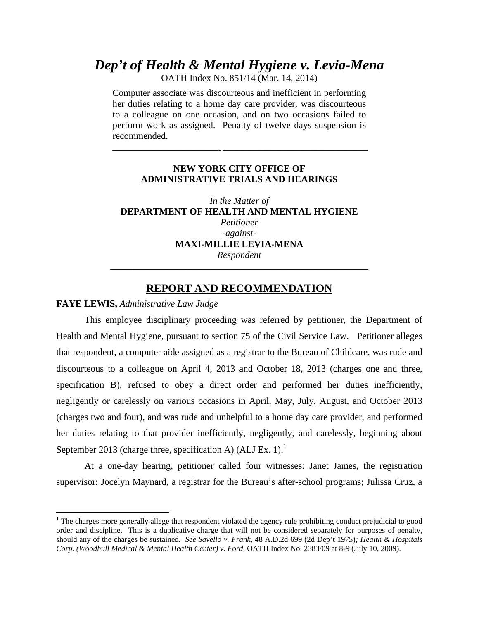# *Dep't of Health & Mental Hygiene v. Levia-Mena*

OATH Index No. 851/14 (Mar. 14, 2014)

Computer associate was discourteous and inefficient in performing her duties relating to a home day care provider, was discourteous to a colleague on one occasion, and on two occasions failed to perform work as assigned. Penalty of twelve days suspension is recommended.

## **NEW YORK CITY OFFICE OF ADMINISTRATIVE TRIALS AND HEARINGS**

 $\frac{1}{2}$  ,  $\frac{1}{2}$  ,  $\frac{1}{2}$  ,  $\frac{1}{2}$  ,  $\frac{1}{2}$  ,  $\frac{1}{2}$  ,  $\frac{1}{2}$  ,  $\frac{1}{2}$  ,  $\frac{1}{2}$  ,  $\frac{1}{2}$  ,  $\frac{1}{2}$  ,  $\frac{1}{2}$  ,  $\frac{1}{2}$  ,  $\frac{1}{2}$  ,  $\frac{1}{2}$  ,  $\frac{1}{2}$  ,  $\frac{1}{2}$  ,  $\frac{1}{2}$  ,  $\frac{1$ 

*In the Matter of*  **DEPARTMENT OF HEALTH AND MENTAL HYGIENE**  *Petitioner -against-***MAXI-MILLIE LEVIA-MENA**  *Respondent*  \_\_\_\_\_\_\_\_\_\_\_\_\_\_\_\_\_\_\_\_\_\_\_\_\_\_\_\_\_\_\_\_\_\_\_\_\_\_\_\_\_\_\_\_\_\_\_\_\_\_\_\_\_\_\_

### **REPORT AND RECOMMENDATION**

#### **FAYE LEWIS,** *Administrative Law Judge*

 $\overline{a}$ 

This employee disciplinary proceeding was referred by petitioner, the Department of Health and Mental Hygiene, pursuant to section 75 of the Civil Service Law. Petitioner alleges that respondent, a computer aide assigned as a registrar to the Bureau of Childcare, was rude and discourteous to a colleague on April 4, 2013 and October 18, 2013 (charges one and three, specification B), refused to obey a direct order and performed her duties inefficiently, negligently or carelessly on various occasions in April, May, July, August, and October 2013 (charges two and four), and was rude and unhelpful to a home day care provider, and performed her duties relating to that provider inefficiently, negligently, and carelessly, beginning about September 2013 (charge three, specification A) (ALJ Ex. 1).<sup>1</sup>

 At a one-day hearing, petitioner called four witnesses: Janet James, the registration supervisor; Jocelyn Maynard, a registrar for the Bureau's after-school programs; Julissa Cruz, a

<sup>&</sup>lt;sup>1</sup> The charges more generally allege that respondent violated the agency rule prohibiting conduct prejudicial to good order and discipline. This is a duplicative charge that will not be considered separately for purposes of penalty, should any of the charges be sustained. *See Savello v. Frank,* 48 A.D.2d 699 (2d Dep't 1975)*; Health & Hospitals Corp. (Woodhull Medical & Mental Health Center) v. Ford,* OATH Index No. 2383/09 at 8-9 (July 10, 2009).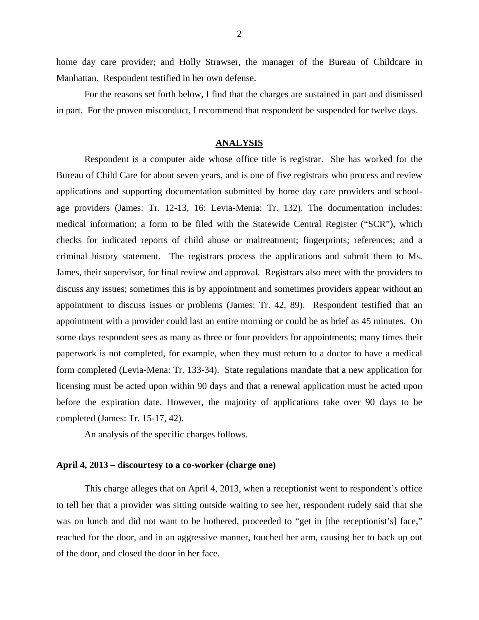home day care provider; and Holly Strawser, the manager of the Bureau of Childcare in Manhattan. Respondent testified in her own defense.

For the reasons set forth below, I find that the charges are sustained in part and dismissed in part. For the proven misconduct, I recommend that respondent be suspended for twelve days.

### **ANALYSIS**

 Respondent is a computer aide whose office title is registrar. She has worked for the Bureau of Child Care for about seven years, and is one of five registrars who process and review applications and supporting documentation submitted by home day care providers and schoolage providers (James: Tr. 12-13, 16: Levia-Menia: Tr. 132). The documentation includes: medical information; a form to be filed with the Statewide Central Register ("SCR"), which checks for indicated reports of child abuse or maltreatment; fingerprints; references; and a criminal history statement. The registrars process the applications and submit them to Ms. James, their supervisor, for final review and approval. Registrars also meet with the providers to discuss any issues; sometimes this is by appointment and sometimes providers appear without an appointment to discuss issues or problems (James: Tr. 42, 89). Respondent testified that an appointment with a provider could last an entire morning or could be as brief as 45 minutes. On some days respondent sees as many as three or four providers for appointments; many times their paperwork is not completed, for example, when they must return to a doctor to have a medical form completed (Levia-Mena: Tr. 133-34). State regulations mandate that a new application for licensing must be acted upon within 90 days and that a renewal application must be acted upon before the expiration date. However, the majority of applications take over 90 days to be completed (James: Tr. 15-17, 42).

An analysis of the specific charges follows.

### **April 4, 2013** – **discourtesy to a co-worker (charge one)**

This charge alleges that on April 4, 2013, when a receptionist went to respondent's office to tell her that a provider was sitting outside waiting to see her, respondent rudely said that she was on lunch and did not want to be bothered, proceeded to "get in [the receptionist's] face," reached for the door, and in an aggressive manner, touched her arm, causing her to back up out of the door, and closed the door in her face.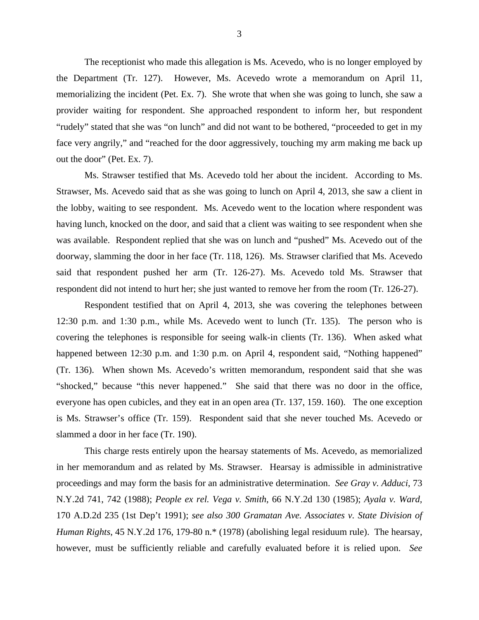The receptionist who made this allegation is Ms. Acevedo, who is no longer employed by the Department (Tr. 127). However, Ms. Acevedo wrote a memorandum on April 11, memorializing the incident (Pet. Ex. 7). She wrote that when she was going to lunch, she saw a provider waiting for respondent. She approached respondent to inform her, but respondent "rudely" stated that she was "on lunch" and did not want to be bothered, "proceeded to get in my face very angrily," and "reached for the door aggressively, touching my arm making me back up out the door" (Pet. Ex. 7).

Ms. Strawser testified that Ms. Acevedo told her about the incident. According to Ms. Strawser, Ms. Acevedo said that as she was going to lunch on April 4, 2013, she saw a client in the lobby, waiting to see respondent. Ms. Acevedo went to the location where respondent was having lunch, knocked on the door, and said that a client was waiting to see respondent when she was available. Respondent replied that she was on lunch and "pushed" Ms. Acevedo out of the doorway, slamming the door in her face (Tr. 118, 126). Ms. Strawser clarified that Ms. Acevedo said that respondent pushed her arm (Tr. 126-27). Ms. Acevedo told Ms. Strawser that respondent did not intend to hurt her; she just wanted to remove her from the room (Tr. 126-27).

Respondent testified that on April 4, 2013, she was covering the telephones between 12:30 p.m. and 1:30 p.m., while Ms. Acevedo went to lunch (Tr. 135). The person who is covering the telephones is responsible for seeing walk-in clients (Tr. 136). When asked what happened between 12:30 p.m. and 1:30 p.m. on April 4, respondent said, "Nothing happened" (Tr. 136). When shown Ms. Acevedo's written memorandum, respondent said that she was "shocked," because "this never happened." She said that there was no door in the office, everyone has open cubicles, and they eat in an open area (Tr. 137, 159. 160). The one exception is Ms. Strawser's office (Tr. 159). Respondent said that she never touched Ms. Acevedo or slammed a door in her face (Tr. 190).

 This charge rests entirely upon the hearsay statements of Ms. Acevedo, as memorialized in her memorandum and as related by Ms. Strawser. Hearsay is admissible in administrative proceedings and may form the basis for an administrative determination. *See Gray v. Adduci*, 73 N.Y.2d 741, 742 (1988); *People ex rel. Vega v. Smith*, 66 N.Y.2d 130 (1985); *Ayala v. Ward,*  170 A.D.2d 235 (1st Dep't 1991); *see also 300 Gramatan Ave. Associates v. State Division of Human Rights*, 45 N.Y.2d 176, 179-80 n.\* (1978) (abolishing legal residuum rule). The hearsay, however, must be sufficiently reliable and carefully evaluated before it is relied upon. *See*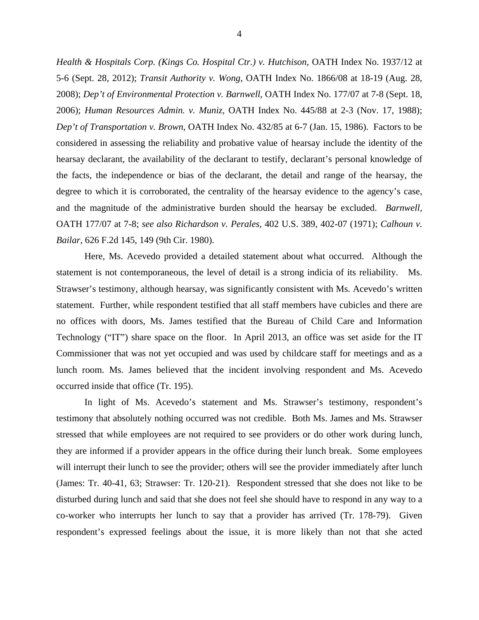*Health & Hospitals Corp. (Kings Co. Hospital Ctr.) v. Hutchison*, OATH Index No. 1937/12 at 5-6 (Sept. 28, 2012); *Transit Authority v. Wong,* OATH Index No. 1866/08 at 18-19 (Aug. 28, 2008); *Dep't of Environmental Protection v. Barnwell*, OATH Index No. 177/07 at 7-8 (Sept. 18, 2006); *Human Resources Admin. v. Muniz,* OATH Index No. 445/88 at 2-3 (Nov. 17, 1988); *Dep't of Transportation v. Brown*, OATH Index No. 432/85 at 6-7 (Jan. 15, 1986). Factors to be considered in assessing the reliability and probative value of hearsay include the identity of the hearsay declarant, the availability of the declarant to testify, declarant's personal knowledge of the facts, the independence or bias of the declarant, the detail and range of the hearsay, the degree to which it is corroborated, the centrality of the hearsay evidence to the agency's case, and the magnitude of the administrative burden should the hearsay be excluded. *Barnwell,*  OATH 177/07 at 7-8; *see also Richardson v. Perales*, 402 U.S. 389, 402-07 (1971); *Calhoun v. Bailar*, 626 F.2d 145, 149 (9th Cir. 1980).

 Here, Ms. Acevedo provided a detailed statement about what occurred. Although the statement is not contemporaneous, the level of detail is a strong indicia of its reliability. Ms. Strawser's testimony, although hearsay, was significantly consistent with Ms. Acevedo's written statement. Further, while respondent testified that all staff members have cubicles and there are no offices with doors, Ms. James testified that the Bureau of Child Care and Information Technology ("IT") share space on the floor. In April 2013, an office was set aside for the IT Commissioner that was not yet occupied and was used by childcare staff for meetings and as a lunch room. Ms. James believed that the incident involving respondent and Ms. Acevedo occurred inside that office (Tr. 195).

 In light of Ms. Acevedo's statement and Ms. Strawser's testimony, respondent's testimony that absolutely nothing occurred was not credible. Both Ms. James and Ms. Strawser stressed that while employees are not required to see providers or do other work during lunch, they are informed if a provider appears in the office during their lunch break. Some employees will interrupt their lunch to see the provider; others will see the provider immediately after lunch (James: Tr. 40-41, 63; Strawser: Tr. 120-21). Respondent stressed that she does not like to be disturbed during lunch and said that she does not feel she should have to respond in any way to a co-worker who interrupts her lunch to say that a provider has arrived (Tr. 178-79). Given respondent's expressed feelings about the issue, it is more likely than not that she acted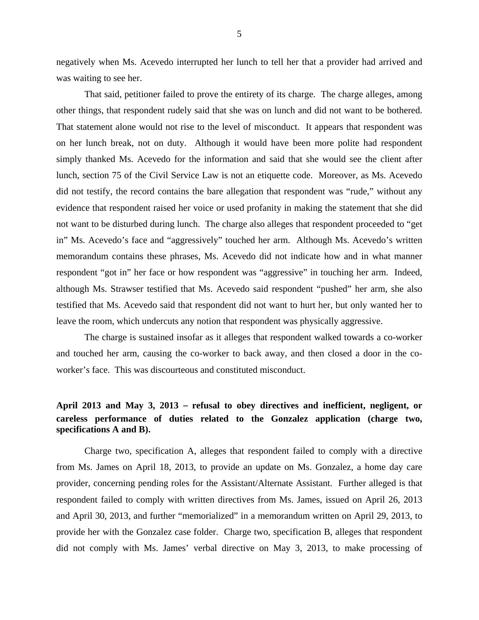negatively when Ms. Acevedo interrupted her lunch to tell her that a provider had arrived and was waiting to see her.

That said, petitioner failed to prove the entirety of its charge. The charge alleges, among other things, that respondent rudely said that she was on lunch and did not want to be bothered. That statement alone would not rise to the level of misconduct. It appears that respondent was on her lunch break, not on duty. Although it would have been more polite had respondent simply thanked Ms. Acevedo for the information and said that she would see the client after lunch, section 75 of the Civil Service Law is not an etiquette code. Moreover, as Ms. Acevedo did not testify, the record contains the bare allegation that respondent was "rude," without any evidence that respondent raised her voice or used profanity in making the statement that she did not want to be disturbed during lunch. The charge also alleges that respondent proceeded to "get in" Ms. Acevedo's face and "aggressively" touched her arm. Although Ms. Acevedo's written memorandum contains these phrases, Ms. Acevedo did not indicate how and in what manner respondent "got in" her face or how respondent was "aggressive" in touching her arm. Indeed, although Ms. Strawser testified that Ms. Acevedo said respondent "pushed" her arm, she also testified that Ms. Acevedo said that respondent did not want to hurt her, but only wanted her to leave the room, which undercuts any notion that respondent was physically aggressive.

The charge is sustained insofar as it alleges that respondent walked towards a co-worker and touched her arm, causing the co-worker to back away, and then closed a door in the coworker's face. This was discourteous and constituted misconduct.

# **April 2013 and May 3, 2013** – **refusal to obey directives and inefficient, negligent, or careless performance of duties related to the Gonzalez application (charge two, specifications A and B).**

Charge two, specification A, alleges that respondent failed to comply with a directive from Ms. James on April 18, 2013, to provide an update on Ms. Gonzalez, a home day care provider, concerning pending roles for the Assistant/Alternate Assistant. Further alleged is that respondent failed to comply with written directives from Ms. James, issued on April 26, 2013 and April 30, 2013, and further "memorialized" in a memorandum written on April 29, 2013, to provide her with the Gonzalez case folder. Charge two, specification B, alleges that respondent did not comply with Ms. James' verbal directive on May 3, 2013, to make processing of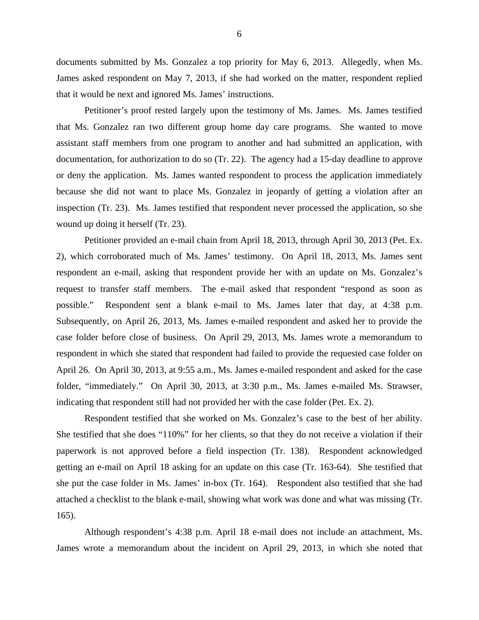documents submitted by Ms. Gonzalez a top priority for May 6, 2013. Allegedly, when Ms. James asked respondent on May 7, 2013, if she had worked on the matter, respondent replied that it would be next and ignored Ms. James' instructions.

 Petitioner's proof rested largely upon the testimony of Ms. James. Ms. James testified that Ms. Gonzalez ran two different group home day care programs. She wanted to move assistant staff members from one program to another and had submitted an application, with documentation, for authorization to do so (Tr. 22). The agency had a 15-day deadline to approve or deny the application. Ms. James wanted respondent to process the application immediately because she did not want to place Ms. Gonzalez in jeopardy of getting a violation after an inspection (Tr. 23). Ms. James testified that respondent never processed the application, so she wound up doing it herself (Tr. 23).

Petitioner provided an e-mail chain from April 18, 2013, through April 30, 2013 (Pet. Ex. 2), which corroborated much of Ms. James' testimony. On April 18, 2013, Ms. James sent respondent an e-mail, asking that respondent provide her with an update on Ms. Gonzalez's request to transfer staff members. The e-mail asked that respondent "respond as soon as possible." Respondent sent a blank e-mail to Ms. James later that day, at 4:38 p.m. Subsequently, on April 26, 2013, Ms. James e-mailed respondent and asked her to provide the case folder before close of business. On April 29, 2013, Ms. James wrote a memorandum to respondent in which she stated that respondent had failed to provide the requested case folder on April 26. On April 30, 2013, at 9:55 a.m., Ms. James e-mailed respondent and asked for the case folder, "immediately." On April 30, 2013, at 3:30 p.m., Ms. James e-mailed Ms. Strawser, indicating that respondent still had not provided her with the case folder (Pet. Ex. 2).

Respondent testified that she worked on Ms. Gonzalez's case to the best of her ability. She testified that she does "110%" for her clients, so that they do not receive a violation if their paperwork is not approved before a field inspection (Tr. 138). Respondent acknowledged getting an e-mail on April 18 asking for an update on this case (Tr. 163-64). She testified that she put the case folder in Ms. James' in-box (Tr. 164). Respondent also testified that she had attached a checklist to the blank e-mail, showing what work was done and what was missing (Tr. 165).

Although respondent's 4:38 p.m. April 18 e-mail does not include an attachment, Ms. James wrote a memorandum about the incident on April 29, 2013, in which she noted that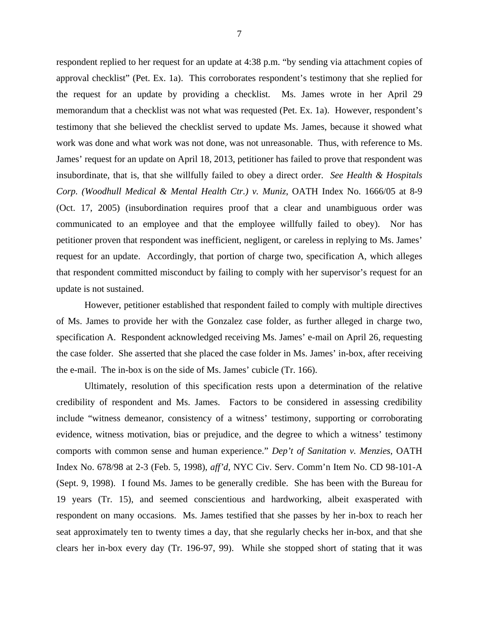respondent replied to her request for an update at 4:38 p.m. "by sending via attachment copies of approval checklist" (Pet. Ex. 1a). This corroborates respondent's testimony that she replied for the request for an update by providing a checklist. Ms. James wrote in her April 29 memorandum that a checklist was not what was requested (Pet. Ex. 1a). However, respondent's testimony that she believed the checklist served to update Ms. James, because it showed what work was done and what work was not done, was not unreasonable. Thus, with reference to Ms. James' request for an update on April 18, 2013, petitioner has failed to prove that respondent was insubordinate, that is, that she willfully failed to obey a direct order. *See Health & Hospitals Corp. (Woodhull Medical & Mental Health Ctr.) v. Muniz*, OATH Index No. 1666/05 at 8-9 (Oct. 17, 2005) (insubordination requires proof that a clear and unambiguous order was communicated to an employee and that the employee willfully failed to obey). Nor has petitioner proven that respondent was inefficient, negligent, or careless in replying to Ms. James' request for an update. Accordingly, that portion of charge two, specification A, which alleges that respondent committed misconduct by failing to comply with her supervisor's request for an update is not sustained.

However, petitioner established that respondent failed to comply with multiple directives of Ms. James to provide her with the Gonzalez case folder, as further alleged in charge two, specification A. Respondent acknowledged receiving Ms. James' e-mail on April 26, requesting the case folder. She asserted that she placed the case folder in Ms. James' in-box, after receiving the e-mail. The in-box is on the side of Ms. James' cubicle (Tr. 166).

Ultimately, resolution of this specification rests upon a determination of the relative credibility of respondent and Ms. James. Factors to be considered in assessing credibility include "witness demeanor, consistency of a witness' testimony, supporting or corroborating evidence, witness motivation, bias or prejudice, and the degree to which a witness' testimony comports with common sense and human experience." *Dep't of Sanitation v. Menzies*, OATH Index No. 678/98 at 2-3 (Feb. 5, 1998), *aff'd*, NYC Civ. Serv. Comm'n Item No. CD 98-101-A (Sept. 9, 1998). I found Ms. James to be generally credible. She has been with the Bureau for 19 years (Tr. 15), and seemed conscientious and hardworking, albeit exasperated with respondent on many occasions. Ms. James testified that she passes by her in-box to reach her seat approximately ten to twenty times a day, that she regularly checks her in-box, and that she clears her in-box every day (Tr. 196-97, 99). While she stopped short of stating that it was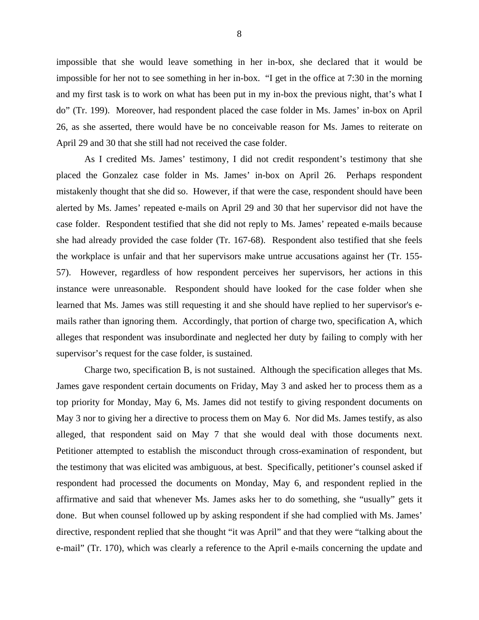impossible that she would leave something in her in-box, she declared that it would be impossible for her not to see something in her in-box. "I get in the office at 7:30 in the morning and my first task is to work on what has been put in my in-box the previous night, that's what I do" (Tr. 199). Moreover, had respondent placed the case folder in Ms. James' in-box on April 26, as she asserted, there would have be no conceivable reason for Ms. James to reiterate on April 29 and 30 that she still had not received the case folder.

As I credited Ms. James' testimony, I did not credit respondent's testimony that she placed the Gonzalez case folder in Ms. James' in-box on April 26. Perhaps respondent mistakenly thought that she did so. However, if that were the case, respondent should have been alerted by Ms. James' repeated e-mails on April 29 and 30 that her supervisor did not have the case folder. Respondent testified that she did not reply to Ms. James' repeated e-mails because she had already provided the case folder (Tr. 167-68). Respondent also testified that she feels the workplace is unfair and that her supervisors make untrue accusations against her (Tr. 155- 57). However, regardless of how respondent perceives her supervisors, her actions in this instance were unreasonable. Respondent should have looked for the case folder when she learned that Ms. James was still requesting it and she should have replied to her supervisor's emails rather than ignoring them. Accordingly, that portion of charge two, specification A, which alleges that respondent was insubordinate and neglected her duty by failing to comply with her supervisor's request for the case folder, is sustained.

Charge two, specification B, is not sustained. Although the specification alleges that Ms. James gave respondent certain documents on Friday, May 3 and asked her to process them as a top priority for Monday, May 6, Ms. James did not testify to giving respondent documents on May 3 nor to giving her a directive to process them on May 6. Nor did Ms. James testify, as also alleged, that respondent said on May 7 that she would deal with those documents next. Petitioner attempted to establish the misconduct through cross-examination of respondent, but the testimony that was elicited was ambiguous, at best. Specifically, petitioner's counsel asked if respondent had processed the documents on Monday, May 6, and respondent replied in the affirmative and said that whenever Ms. James asks her to do something, she "usually" gets it done. But when counsel followed up by asking respondent if she had complied with Ms. James' directive, respondent replied that she thought "it was April" and that they were "talking about the e-mail" (Tr. 170), which was clearly a reference to the April e-mails concerning the update and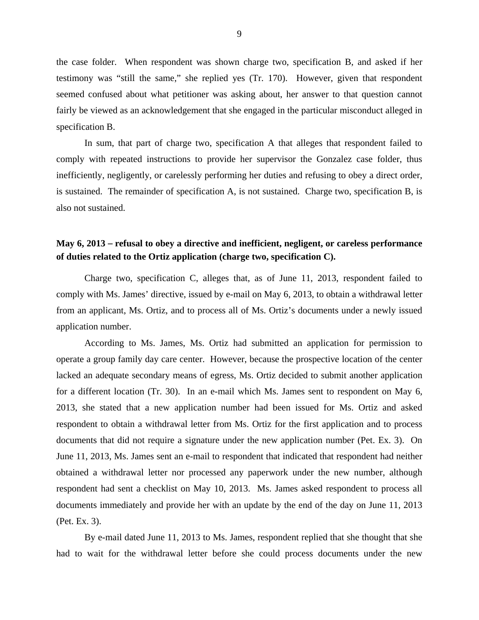the case folder. When respondent was shown charge two, specification B, and asked if her testimony was "still the same," she replied yes (Tr. 170). However, given that respondent seemed confused about what petitioner was asking about, her answer to that question cannot fairly be viewed as an acknowledgement that she engaged in the particular misconduct alleged in specification B.

In sum, that part of charge two, specification A that alleges that respondent failed to comply with repeated instructions to provide her supervisor the Gonzalez case folder, thus inefficiently, negligently, or carelessly performing her duties and refusing to obey a direct order, is sustained. The remainder of specification A, is not sustained. Charge two, specification B, is also not sustained.

# **May 6, 2013** – **refusal to obey a directive and inefficient, negligent, or careless performance of duties related to the Ortiz application (charge two, specification C).**

Charge two, specification C, alleges that, as of June 11, 2013, respondent failed to comply with Ms. James' directive, issued by e-mail on May 6, 2013, to obtain a withdrawal letter from an applicant, Ms. Ortiz, and to process all of Ms. Ortiz's documents under a newly issued application number.

 According to Ms. James, Ms. Ortiz had submitted an application for permission to operate a group family day care center. However, because the prospective location of the center lacked an adequate secondary means of egress, Ms. Ortiz decided to submit another application for a different location (Tr. 30). In an e-mail which Ms. James sent to respondent on May 6, 2013, she stated that a new application number had been issued for Ms. Ortiz and asked respondent to obtain a withdrawal letter from Ms. Ortiz for the first application and to process documents that did not require a signature under the new application number (Pet. Ex. 3). On June 11, 2013, Ms. James sent an e-mail to respondent that indicated that respondent had neither obtained a withdrawal letter nor processed any paperwork under the new number, although respondent had sent a checklist on May 10, 2013. Ms. James asked respondent to process all documents immediately and provide her with an update by the end of the day on June 11, 2013 (Pet. Ex. 3).

By e-mail dated June 11, 2013 to Ms. James, respondent replied that she thought that she had to wait for the withdrawal letter before she could process documents under the new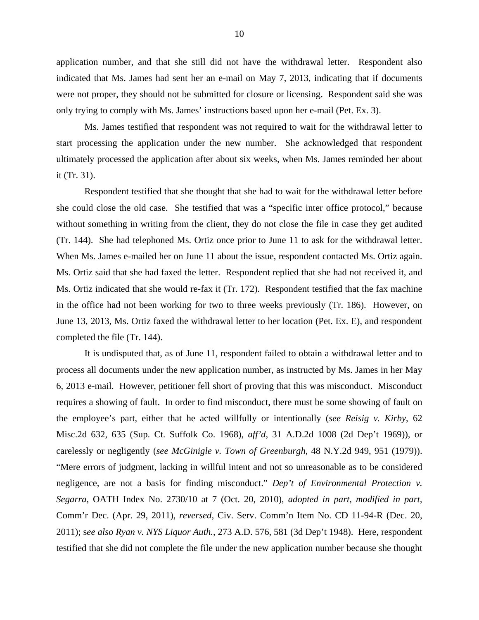application number, and that she still did not have the withdrawal letter. Respondent also indicated that Ms. James had sent her an e-mail on May 7, 2013, indicating that if documents were not proper, they should not be submitted for closure or licensing. Respondent said she was only trying to comply with Ms. James' instructions based upon her e-mail (Pet. Ex. 3).

Ms. James testified that respondent was not required to wait for the withdrawal letter to start processing the application under the new number. She acknowledged that respondent ultimately processed the application after about six weeks, when Ms. James reminded her about it (Tr. 31).

Respondent testified that she thought that she had to wait for the withdrawal letter before she could close the old case. She testified that was a "specific inter office protocol," because without something in writing from the client, they do not close the file in case they get audited (Tr. 144). She had telephoned Ms. Ortiz once prior to June 11 to ask for the withdrawal letter. When Ms. James e-mailed her on June 11 about the issue, respondent contacted Ms. Ortiz again. Ms. Ortiz said that she had faxed the letter. Respondent replied that she had not received it, and Ms. Ortiz indicated that she would re-fax it (Tr. 172). Respondent testified that the fax machine in the office had not been working for two to three weeks previously (Tr. 186). However, on June 13, 2013, Ms. Ortiz faxed the withdrawal letter to her location (Pet. Ex. E), and respondent completed the file (Tr. 144).

It is undisputed that, as of June 11, respondent failed to obtain a withdrawal letter and to process all documents under the new application number, as instructed by Ms. James in her May 6, 2013 e-mail. However, petitioner fell short of proving that this was misconduct. Misconduct requires a showing of fault. In order to find misconduct, there must be some showing of fault on the employee's part, either that he acted willfully or intentionally (*see Reisig v. Kirby*, 62 Misc.2d 632, 635 (Sup. Ct. Suffolk Co. 1968), *aff'd*, 31 A.D.2d 1008 (2d Dep't 1969)), or carelessly or negligently (*see McGinigle v. Town of Greenburgh*, 48 N.Y.2d 949, 951 (1979)). "Mere errors of judgment, lacking in willful intent and not so unreasonable as to be considered negligence, are not a basis for finding misconduct." *Dep't of Environmental Protection v. Segarra*, OATH Index No. 2730/10 at 7 (Oct. 20, 2010), *adopted in part, modified in part,* Comm'r Dec. (Apr. 29, 2011), *reversed*, Civ. Serv. Comm'n Item No. CD 11-94-R (Dec. 20, 2011); s*ee also Ryan v. NYS Liquor Auth.*, 273 A.D. 576, 581 (3d Dep't 1948). Here, respondent testified that she did not complete the file under the new application number because she thought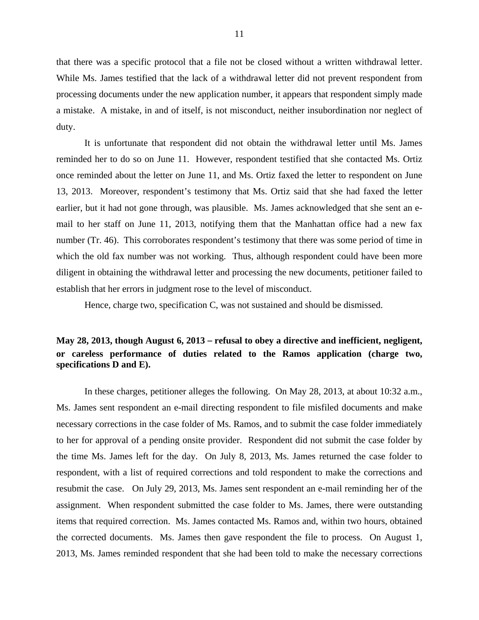that there was a specific protocol that a file not be closed without a written withdrawal letter. While Ms. James testified that the lack of a withdrawal letter did not prevent respondent from processing documents under the new application number, it appears that respondent simply made a mistake. A mistake, in and of itself, is not misconduct, neither insubordination nor neglect of duty.

It is unfortunate that respondent did not obtain the withdrawal letter until Ms. James reminded her to do so on June 11. However, respondent testified that she contacted Ms. Ortiz once reminded about the letter on June 11, and Ms. Ortiz faxed the letter to respondent on June 13, 2013. Moreover, respondent's testimony that Ms. Ortiz said that she had faxed the letter earlier, but it had not gone through, was plausible. Ms. James acknowledged that she sent an email to her staff on June 11, 2013, notifying them that the Manhattan office had a new fax number (Tr. 46). This corroborates respondent's testimony that there was some period of time in which the old fax number was not working. Thus, although respondent could have been more diligent in obtaining the withdrawal letter and processing the new documents, petitioner failed to establish that her errors in judgment rose to the level of misconduct.

Hence, charge two, specification C, was not sustained and should be dismissed.

# **May 28, 2013, though August 6, 2013** – **refusal to obey a directive and inefficient, negligent, or careless performance of duties related to the Ramos application (charge two, specifications D and E).**

In these charges, petitioner alleges the following. On May 28, 2013, at about 10:32 a.m., Ms. James sent respondent an e-mail directing respondent to file misfiled documents and make necessary corrections in the case folder of Ms. Ramos, and to submit the case folder immediately to her for approval of a pending onsite provider. Respondent did not submit the case folder by the time Ms. James left for the day. On July 8, 2013, Ms. James returned the case folder to respondent, with a list of required corrections and told respondent to make the corrections and resubmit the case. On July 29, 2013, Ms. James sent respondent an e-mail reminding her of the assignment. When respondent submitted the case folder to Ms. James, there were outstanding items that required correction. Ms. James contacted Ms. Ramos and, within two hours, obtained the corrected documents. Ms. James then gave respondent the file to process. On August 1, 2013, Ms. James reminded respondent that she had been told to make the necessary corrections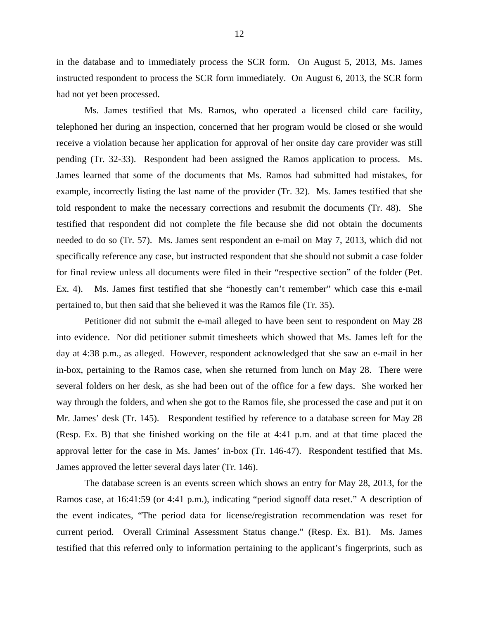in the database and to immediately process the SCR form. On August 5, 2013, Ms. James instructed respondent to process the SCR form immediately. On August 6, 2013, the SCR form had not yet been processed.

 Ms. James testified that Ms. Ramos, who operated a licensed child care facility, telephoned her during an inspection, concerned that her program would be closed or she would receive a violation because her application for approval of her onsite day care provider was still pending (Tr. 32-33). Respondent had been assigned the Ramos application to process. Ms. James learned that some of the documents that Ms. Ramos had submitted had mistakes, for example, incorrectly listing the last name of the provider (Tr. 32). Ms. James testified that she told respondent to make the necessary corrections and resubmit the documents (Tr. 48). She testified that respondent did not complete the file because she did not obtain the documents needed to do so (Tr. 57). Ms. James sent respondent an e-mail on May 7, 2013, which did not specifically reference any case, but instructed respondent that she should not submit a case folder for final review unless all documents were filed in their "respective section" of the folder (Pet. Ex. 4). Ms. James first testified that she "honestly can't remember" which case this e-mail pertained to, but then said that she believed it was the Ramos file (Tr. 35).

 Petitioner did not submit the e-mail alleged to have been sent to respondent on May 28 into evidence. Nor did petitioner submit timesheets which showed that Ms. James left for the day at 4:38 p.m., as alleged. However, respondent acknowledged that she saw an e-mail in her in-box, pertaining to the Ramos case, when she returned from lunch on May 28. There were several folders on her desk, as she had been out of the office for a few days. She worked her way through the folders, and when she got to the Ramos file, she processed the case and put it on Mr. James' desk (Tr. 145). Respondent testified by reference to a database screen for May 28 (Resp. Ex. B) that she finished working on the file at 4:41 p.m. and at that time placed the approval letter for the case in Ms. James' in-box (Tr. 146-47). Respondent testified that Ms. James approved the letter several days later (Tr. 146).

The database screen is an events screen which shows an entry for May 28, 2013, for the Ramos case, at 16:41:59 (or 4:41 p.m.), indicating "period signoff data reset." A description of the event indicates, "The period data for license/registration recommendation was reset for current period. Overall Criminal Assessment Status change." (Resp. Ex. B1). Ms. James testified that this referred only to information pertaining to the applicant's fingerprints, such as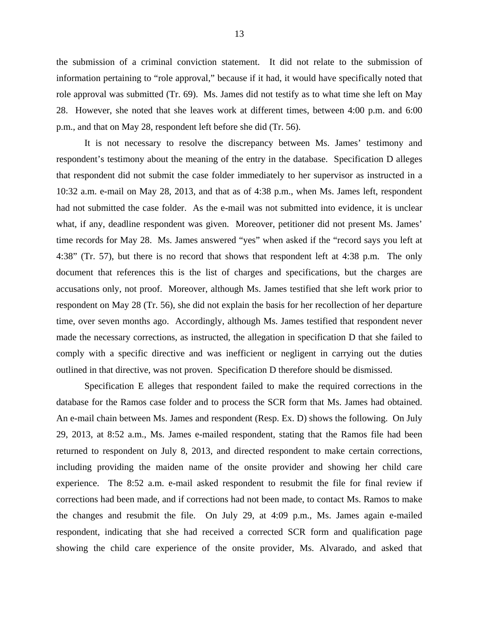the submission of a criminal conviction statement. It did not relate to the submission of information pertaining to "role approval," because if it had, it would have specifically noted that role approval was submitted (Tr. 69). Ms. James did not testify as to what time she left on May 28. However, she noted that she leaves work at different times, between 4:00 p.m. and 6:00 p.m., and that on May 28, respondent left before she did (Tr. 56).

It is not necessary to resolve the discrepancy between Ms. James' testimony and respondent's testimony about the meaning of the entry in the database. Specification D alleges that respondent did not submit the case folder immediately to her supervisor as instructed in a 10:32 a.m. e-mail on May 28, 2013, and that as of 4:38 p.m., when Ms. James left, respondent had not submitted the case folder. As the e-mail was not submitted into evidence, it is unclear what, if any, deadline respondent was given. Moreover, petitioner did not present Ms. James' time records for May 28. Ms. James answered "yes" when asked if the "record says you left at 4:38" (Tr. 57), but there is no record that shows that respondent left at 4:38 p.m. The only document that references this is the list of charges and specifications, but the charges are accusations only, not proof. Moreover, although Ms. James testified that she left work prior to respondent on May 28 (Tr. 56), she did not explain the basis for her recollection of her departure time, over seven months ago. Accordingly, although Ms. James testified that respondent never made the necessary corrections, as instructed, the allegation in specification D that she failed to comply with a specific directive and was inefficient or negligent in carrying out the duties outlined in that directive, was not proven. Specification D therefore should be dismissed.

Specification E alleges that respondent failed to make the required corrections in the database for the Ramos case folder and to process the SCR form that Ms. James had obtained. An e-mail chain between Ms. James and respondent (Resp. Ex. D) shows the following. On July 29, 2013, at 8:52 a.m., Ms. James e-mailed respondent, stating that the Ramos file had been returned to respondent on July 8, 2013, and directed respondent to make certain corrections, including providing the maiden name of the onsite provider and showing her child care experience. The 8:52 a.m. e-mail asked respondent to resubmit the file for final review if corrections had been made, and if corrections had not been made, to contact Ms. Ramos to make the changes and resubmit the file. On July 29, at 4:09 p.m., Ms. James again e-mailed respondent, indicating that she had received a corrected SCR form and qualification page showing the child care experience of the onsite provider, Ms. Alvarado, and asked that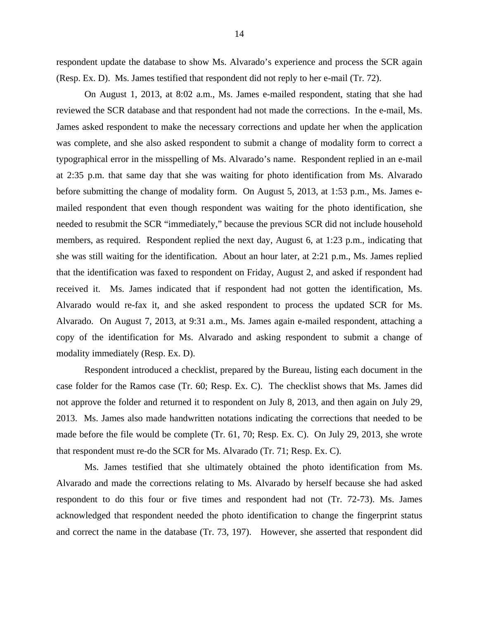respondent update the database to show Ms. Alvarado's experience and process the SCR again (Resp. Ex. D). Ms. James testified that respondent did not reply to her e-mail (Tr. 72).

On August 1, 2013, at 8:02 a.m., Ms. James e-mailed respondent, stating that she had reviewed the SCR database and that respondent had not made the corrections. In the e-mail, Ms. James asked respondent to make the necessary corrections and update her when the application was complete, and she also asked respondent to submit a change of modality form to correct a typographical error in the misspelling of Ms. Alvarado's name. Respondent replied in an e-mail at 2:35 p.m. that same day that she was waiting for photo identification from Ms. Alvarado before submitting the change of modality form. On August 5, 2013, at 1:53 p.m., Ms. James emailed respondent that even though respondent was waiting for the photo identification, she needed to resubmit the SCR "immediately," because the previous SCR did not include household members, as required. Respondent replied the next day, August 6, at 1:23 p.m., indicating that she was still waiting for the identification. About an hour later, at 2:21 p.m., Ms. James replied that the identification was faxed to respondent on Friday, August 2, and asked if respondent had received it. Ms. James indicated that if respondent had not gotten the identification, Ms. Alvarado would re-fax it, and she asked respondent to process the updated SCR for Ms. Alvarado. On August 7, 2013, at 9:31 a.m., Ms. James again e-mailed respondent, attaching a copy of the identification for Ms. Alvarado and asking respondent to submit a change of modality immediately (Resp. Ex. D).

Respondent introduced a checklist, prepared by the Bureau, listing each document in the case folder for the Ramos case (Tr. 60; Resp. Ex. C). The checklist shows that Ms. James did not approve the folder and returned it to respondent on July 8, 2013, and then again on July 29, 2013. Ms. James also made handwritten notations indicating the corrections that needed to be made before the file would be complete (Tr. 61, 70; Resp. Ex. C). On July 29, 2013, she wrote that respondent must re-do the SCR for Ms. Alvarado (Tr. 71; Resp. Ex. C).

Ms. James testified that she ultimately obtained the photo identification from Ms. Alvarado and made the corrections relating to Ms. Alvarado by herself because she had asked respondent to do this four or five times and respondent had not (Tr. 72-73). Ms. James acknowledged that respondent needed the photo identification to change the fingerprint status and correct the name in the database (Tr. 73, 197). However, she asserted that respondent did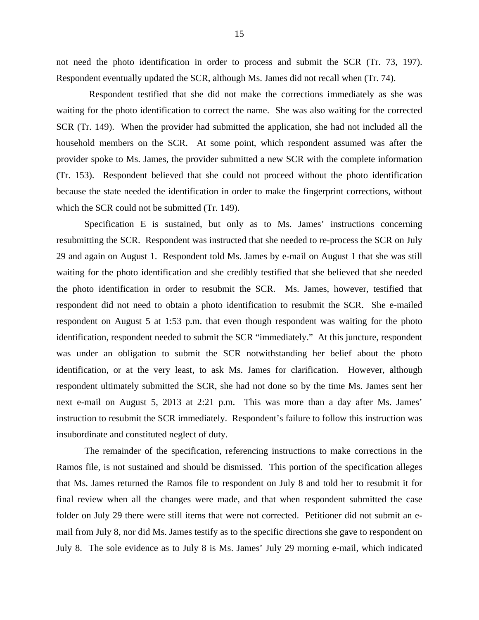not need the photo identification in order to process and submit the SCR (Tr. 73, 197). Respondent eventually updated the SCR, although Ms. James did not recall when (Tr. 74).

 Respondent testified that she did not make the corrections immediately as she was waiting for the photo identification to correct the name. She was also waiting for the corrected SCR (Tr. 149). When the provider had submitted the application, she had not included all the household members on the SCR. At some point, which respondent assumed was after the provider spoke to Ms. James, the provider submitted a new SCR with the complete information (Tr. 153). Respondent believed that she could not proceed without the photo identification because the state needed the identification in order to make the fingerprint corrections, without which the SCR could not be submitted (Tr. 149).

Specification E is sustained, but only as to Ms. James' instructions concerning resubmitting the SCR. Respondent was instructed that she needed to re-process the SCR on July 29 and again on August 1. Respondent told Ms. James by e-mail on August 1 that she was still waiting for the photo identification and she credibly testified that she believed that she needed the photo identification in order to resubmit the SCR. Ms. James, however, testified that respondent did not need to obtain a photo identification to resubmit the SCR. She e-mailed respondent on August 5 at 1:53 p.m. that even though respondent was waiting for the photo identification, respondent needed to submit the SCR "immediately." At this juncture, respondent was under an obligation to submit the SCR notwithstanding her belief about the photo identification, or at the very least, to ask Ms. James for clarification. However, although respondent ultimately submitted the SCR, she had not done so by the time Ms. James sent her next e-mail on August 5, 2013 at 2:21 p.m. This was more than a day after Ms. James' instruction to resubmit the SCR immediately. Respondent's failure to follow this instruction was insubordinate and constituted neglect of duty.

The remainder of the specification, referencing instructions to make corrections in the Ramos file, is not sustained and should be dismissed. This portion of the specification alleges that Ms. James returned the Ramos file to respondent on July 8 and told her to resubmit it for final review when all the changes were made, and that when respondent submitted the case folder on July 29 there were still items that were not corrected. Petitioner did not submit an email from July 8, nor did Ms. James testify as to the specific directions she gave to respondent on July 8. The sole evidence as to July 8 is Ms. James' July 29 morning e-mail, which indicated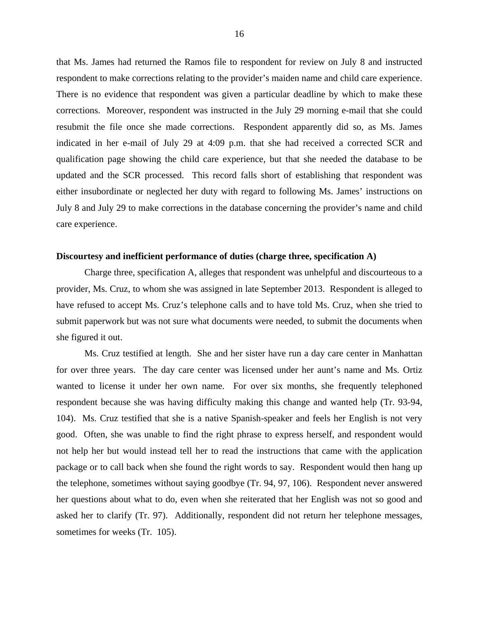that Ms. James had returned the Ramos file to respondent for review on July 8 and instructed respondent to make corrections relating to the provider's maiden name and child care experience. There is no evidence that respondent was given a particular deadline by which to make these corrections. Moreover, respondent was instructed in the July 29 morning e-mail that she could resubmit the file once she made corrections. Respondent apparently did so, as Ms. James indicated in her e-mail of July 29 at 4:09 p.m. that she had received a corrected SCR and qualification page showing the child care experience, but that she needed the database to be updated and the SCR processed. This record falls short of establishing that respondent was either insubordinate or neglected her duty with regard to following Ms. James' instructions on July 8 and July 29 to make corrections in the database concerning the provider's name and child care experience.

### **Discourtesy and inefficient performance of duties (charge three, specification A)**

Charge three, specification A, alleges that respondent was unhelpful and discourteous to a provider, Ms. Cruz, to whom she was assigned in late September 2013. Respondent is alleged to have refused to accept Ms. Cruz's telephone calls and to have told Ms. Cruz, when she tried to submit paperwork but was not sure what documents were needed, to submit the documents when she figured it out.

 Ms. Cruz testified at length. She and her sister have run a day care center in Manhattan for over three years. The day care center was licensed under her aunt's name and Ms. Ortiz wanted to license it under her own name. For over six months, she frequently telephoned respondent because she was having difficulty making this change and wanted help (Tr. 93-94, 104). Ms. Cruz testified that she is a native Spanish-speaker and feels her English is not very good. Often, she was unable to find the right phrase to express herself, and respondent would not help her but would instead tell her to read the instructions that came with the application package or to call back when she found the right words to say. Respondent would then hang up the telephone, sometimes without saying goodbye (Tr. 94, 97, 106). Respondent never answered her questions about what to do, even when she reiterated that her English was not so good and asked her to clarify (Tr. 97). Additionally, respondent did not return her telephone messages, sometimes for weeks (Tr. 105).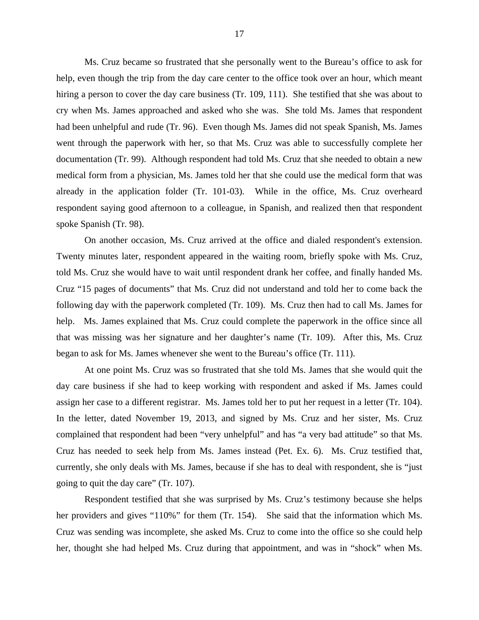Ms. Cruz became so frustrated that she personally went to the Bureau's office to ask for help, even though the trip from the day care center to the office took over an hour, which meant hiring a person to cover the day care business (Tr. 109, 111). She testified that she was about to cry when Ms. James approached and asked who she was. She told Ms. James that respondent had been unhelpful and rude (Tr. 96). Even though Ms. James did not speak Spanish, Ms. James went through the paperwork with her, so that Ms. Cruz was able to successfully complete her documentation (Tr. 99). Although respondent had told Ms. Cruz that she needed to obtain a new medical form from a physician, Ms. James told her that she could use the medical form that was already in the application folder (Tr. 101-03). While in the office, Ms. Cruz overheard respondent saying good afternoon to a colleague, in Spanish, and realized then that respondent spoke Spanish (Tr. 98).

On another occasion, Ms. Cruz arrived at the office and dialed respondent's extension. Twenty minutes later, respondent appeared in the waiting room, briefly spoke with Ms. Cruz, told Ms. Cruz she would have to wait until respondent drank her coffee, and finally handed Ms. Cruz "15 pages of documents" that Ms. Cruz did not understand and told her to come back the following day with the paperwork completed (Tr. 109). Ms. Cruz then had to call Ms. James for help. Ms. James explained that Ms. Cruz could complete the paperwork in the office since all that was missing was her signature and her daughter's name (Tr. 109). After this, Ms. Cruz began to ask for Ms. James whenever she went to the Bureau's office (Tr. 111).

At one point Ms. Cruz was so frustrated that she told Ms. James that she would quit the day care business if she had to keep working with respondent and asked if Ms. James could assign her case to a different registrar. Ms. James told her to put her request in a letter (Tr. 104). In the letter, dated November 19, 2013, and signed by Ms. Cruz and her sister, Ms. Cruz complained that respondent had been "very unhelpful" and has "a very bad attitude" so that Ms. Cruz has needed to seek help from Ms. James instead (Pet. Ex. 6). Ms. Cruz testified that, currently, she only deals with Ms. James, because if she has to deal with respondent, she is "just going to quit the day care" (Tr. 107).

 Respondent testified that she was surprised by Ms. Cruz's testimony because she helps her providers and gives "110%" for them (Tr. 154). She said that the information which Ms. Cruz was sending was incomplete, she asked Ms. Cruz to come into the office so she could help her, thought she had helped Ms. Cruz during that appointment, and was in "shock" when Ms.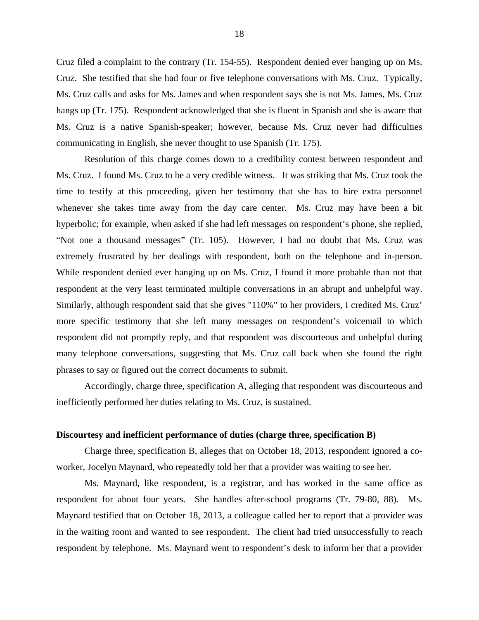Cruz filed a complaint to the contrary (Tr. 154-55). Respondent denied ever hanging up on Ms. Cruz. She testified that she had four or five telephone conversations with Ms. Cruz. Typically, Ms. Cruz calls and asks for Ms. James and when respondent says she is not Ms. James, Ms. Cruz hangs up (Tr. 175). Respondent acknowledged that she is fluent in Spanish and she is aware that Ms. Cruz is a native Spanish-speaker; however, because Ms. Cruz never had difficulties communicating in English, she never thought to use Spanish (Tr. 175).

 Resolution of this charge comes down to a credibility contest between respondent and Ms. Cruz. I found Ms. Cruz to be a very credible witness. It was striking that Ms. Cruz took the time to testify at this proceeding, given her testimony that she has to hire extra personnel whenever she takes time away from the day care center. Ms. Cruz may have been a bit hyperbolic; for example, when asked if she had left messages on respondent's phone, she replied, "Not one a thousand messages" (Tr. 105). However, I had no doubt that Ms. Cruz was extremely frustrated by her dealings with respondent, both on the telephone and in-person. While respondent denied ever hanging up on Ms. Cruz, I found it more probable than not that respondent at the very least terminated multiple conversations in an abrupt and unhelpful way. Similarly, although respondent said that she gives "110%" to her providers, I credited Ms. Cruz' more specific testimony that she left many messages on respondent's voicemail to which respondent did not promptly reply, and that respondent was discourteous and unhelpful during many telephone conversations, suggesting that Ms. Cruz call back when she found the right phrases to say or figured out the correct documents to submit.

 Accordingly, charge three, specification A, alleging that respondent was discourteous and inefficiently performed her duties relating to Ms. Cruz, is sustained.

### **Discourtesy and inefficient performance of duties (charge three, specification B)**

 Charge three, specification B, alleges that on October 18, 2013, respondent ignored a coworker, Jocelyn Maynard, who repeatedly told her that a provider was waiting to see her.

 Ms. Maynard, like respondent, is a registrar, and has worked in the same office as respondent for about four years. She handles after-school programs (Tr. 79-80, 88). Ms. Maynard testified that on October 18, 2013, a colleague called her to report that a provider was in the waiting room and wanted to see respondent. The client had tried unsuccessfully to reach respondent by telephone. Ms. Maynard went to respondent's desk to inform her that a provider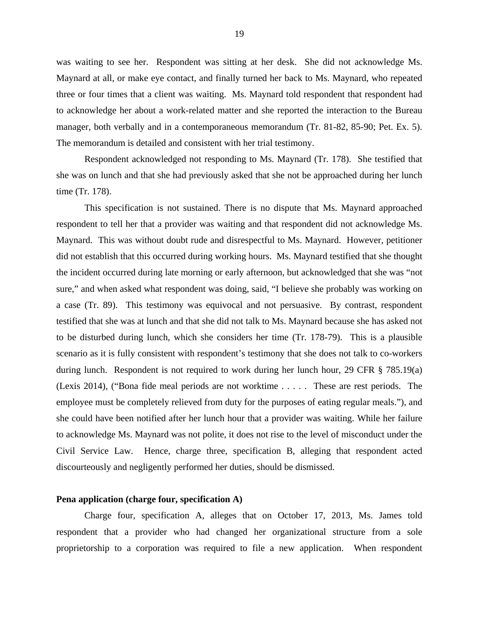was waiting to see her. Respondent was sitting at her desk. She did not acknowledge Ms. Maynard at all, or make eye contact, and finally turned her back to Ms. Maynard, who repeated three or four times that a client was waiting. Ms. Maynard told respondent that respondent had to acknowledge her about a work-related matter and she reported the interaction to the Bureau manager, both verbally and in a contemporaneous memorandum (Tr. 81-82, 85-90; Pet. Ex. 5). The memorandum is detailed and consistent with her trial testimony.

 Respondent acknowledged not responding to Ms. Maynard (Tr. 178). She testified that she was on lunch and that she had previously asked that she not be approached during her lunch time (Tr. 178).

 This specification is not sustained. There is no dispute that Ms. Maynard approached respondent to tell her that a provider was waiting and that respondent did not acknowledge Ms. Maynard. This was without doubt rude and disrespectful to Ms. Maynard. However, petitioner did not establish that this occurred during working hours. Ms. Maynard testified that she thought the incident occurred during late morning or early afternoon, but acknowledged that she was "not sure," and when asked what respondent was doing, said, "I believe she probably was working on a case (Tr. 89). This testimony was equivocal and not persuasive. By contrast, respondent testified that she was at lunch and that she did not talk to Ms. Maynard because she has asked not to be disturbed during lunch, which she considers her time (Tr. 178-79). This is a plausible scenario as it is fully consistent with respondent's testimony that she does not talk to co-workers during lunch. Respondent is not required to work during her lunch hour, 29 CFR § 785.19(a) (Lexis 2014), ("Bona fide meal periods are not worktime . . . . . These are rest periods. The employee must be completely relieved from duty for the purposes of eating regular meals."), and she could have been notified after her lunch hour that a provider was waiting. While her failure to acknowledge Ms. Maynard was not polite, it does not rise to the level of misconduct under the Civil Service Law. Hence, charge three, specification B, alleging that respondent acted discourteously and negligently performed her duties, should be dismissed.

### **Pena application (charge four, specification A)**

Charge four, specification A, alleges that on October 17, 2013, Ms. James told respondent that a provider who had changed her organizational structure from a sole proprietorship to a corporation was required to file a new application. When respondent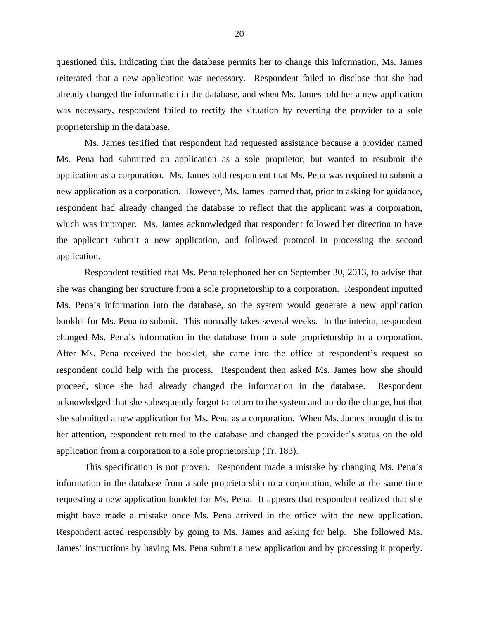questioned this, indicating that the database permits her to change this information, Ms. James reiterated that a new application was necessary. Respondent failed to disclose that she had already changed the information in the database, and when Ms. James told her a new application was necessary, respondent failed to rectify the situation by reverting the provider to a sole proprietorship in the database.

Ms. James testified that respondent had requested assistance because a provider named Ms. Pena had submitted an application as a sole proprietor, but wanted to resubmit the application as a corporation. Ms. James told respondent that Ms. Pena was required to submit a new application as a corporation. However, Ms. James learned that, prior to asking for guidance, respondent had already changed the database to reflect that the applicant was a corporation, which was improper. Ms. James acknowledged that respondent followed her direction to have the applicant submit a new application, and followed protocol in processing the second application.

Respondent testified that Ms. Pena telephoned her on September 30, 2013, to advise that she was changing her structure from a sole proprietorship to a corporation. Respondent inputted Ms. Pena's information into the database, so the system would generate a new application booklet for Ms. Pena to submit. This normally takes several weeks. In the interim, respondent changed Ms. Pena's information in the database from a sole proprietorship to a corporation. After Ms. Pena received the booklet, she came into the office at respondent's request so respondent could help with the process. Respondent then asked Ms. James how she should proceed, since she had already changed the information in the database. Respondent acknowledged that she subsequently forgot to return to the system and un-do the change, but that she submitted a new application for Ms. Pena as a corporation. When Ms. James brought this to her attention, respondent returned to the database and changed the provider's status on the old application from a corporation to a sole proprietorship (Tr. 183).

This specification is not proven. Respondent made a mistake by changing Ms. Pena's information in the database from a sole proprietorship to a corporation, while at the same time requesting a new application booklet for Ms. Pena. It appears that respondent realized that she might have made a mistake once Ms. Pena arrived in the office with the new application. Respondent acted responsibly by going to Ms. James and asking for help. She followed Ms. James' instructions by having Ms. Pena submit a new application and by processing it properly.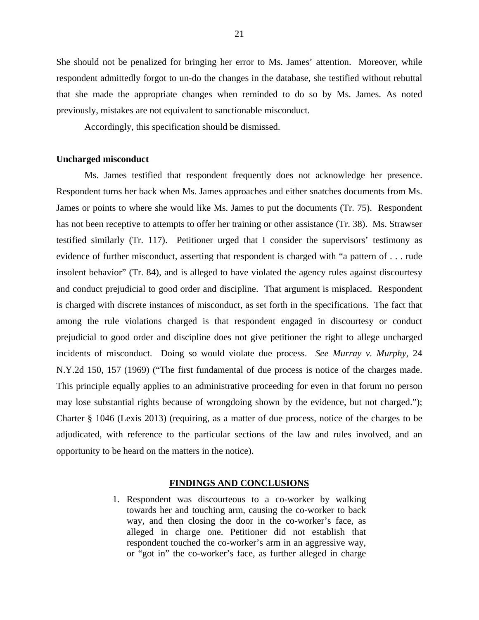She should not be penalized for bringing her error to Ms. James' attention. Moreover, while respondent admittedly forgot to un-do the changes in the database, she testified without rebuttal that she made the appropriate changes when reminded to do so by Ms. James. As noted previously, mistakes are not equivalent to sanctionable misconduct.

Accordingly, this specification should be dismissed.

### **Uncharged misconduct**

Ms. James testified that respondent frequently does not acknowledge her presence. Respondent turns her back when Ms. James approaches and either snatches documents from Ms. James or points to where she would like Ms. James to put the documents (Tr. 75). Respondent has not been receptive to attempts to offer her training or other assistance (Tr. 38). Ms. Strawser testified similarly (Tr. 117). Petitioner urged that I consider the supervisors' testimony as evidence of further misconduct, asserting that respondent is charged with "a pattern of . . . rude insolent behavior" (Tr. 84), and is alleged to have violated the agency rules against discourtesy and conduct prejudicial to good order and discipline. That argument is misplaced. Respondent is charged with discrete instances of misconduct, as set forth in the specifications. The fact that among the rule violations charged is that respondent engaged in discourtesy or conduct prejudicial to good order and discipline does not give petitioner the right to allege uncharged incidents of misconduct. Doing so would violate due process. *See Murray v. Murphy,* 24 N.Y.2d 150, 157 (1969) ("The first fundamental of due process is notice of the charges made. This principle equally applies to an administrative proceeding for even in that forum no person may lose substantial rights because of wrongdoing shown by the evidence, but not charged."); Charter § 1046 (Lexis 2013) (requiring, as a matter of due process, notice of the charges to be adjudicated, with reference to the particular sections of the law and rules involved, and an opportunity to be heard on the matters in the notice).

#### **FINDINGS AND CONCLUSIONS**

1. Respondent was discourteous to a co-worker by walking towards her and touching arm, causing the co-worker to back way, and then closing the door in the co-worker's face, as alleged in charge one. Petitioner did not establish that respondent touched the co-worker's arm in an aggressive way, or "got in" the co-worker's face, as further alleged in charge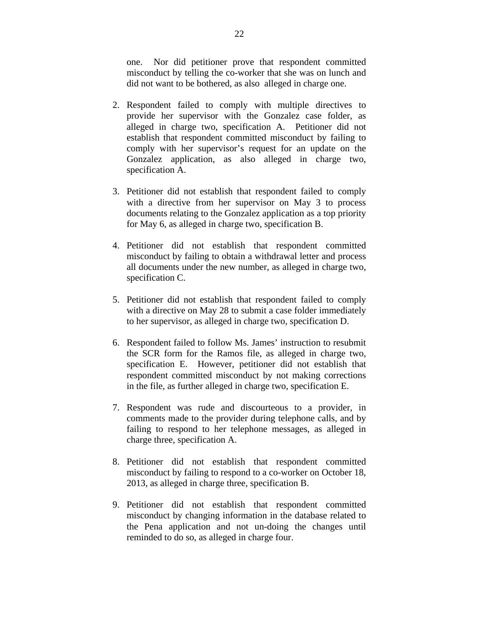one. Nor did petitioner prove that respondent committed misconduct by telling the co-worker that she was on lunch and did not want to be bothered, as also alleged in charge one.

- 2. Respondent failed to comply with multiple directives to provide her supervisor with the Gonzalez case folder, as alleged in charge two, specification A. Petitioner did not establish that respondent committed misconduct by failing to comply with her supervisor's request for an update on the Gonzalez application, as also alleged in charge two, specification A.
- 3. Petitioner did not establish that respondent failed to comply with a directive from her supervisor on May 3 to process documents relating to the Gonzalez application as a top priority for May 6, as alleged in charge two, specification B.
- 4. Petitioner did not establish that respondent committed misconduct by failing to obtain a withdrawal letter and process all documents under the new number, as alleged in charge two, specification C.
- 5. Petitioner did not establish that respondent failed to comply with a directive on May 28 to submit a case folder immediately to her supervisor, as alleged in charge two, specification D.
- 6. Respondent failed to follow Ms. James' instruction to resubmit the SCR form for the Ramos file, as alleged in charge two, specification E. However, petitioner did not establish that respondent committed misconduct by not making corrections in the file, as further alleged in charge two, specification E.
- 7. Respondent was rude and discourteous to a provider, in comments made to the provider during telephone calls, and by failing to respond to her telephone messages, as alleged in charge three, specification A.
- 8. Petitioner did not establish that respondent committed misconduct by failing to respond to a co-worker on October 18, 2013, as alleged in charge three, specification B.
- 9. Petitioner did not establish that respondent committed misconduct by changing information in the database related to the Pena application and not un-doing the changes until reminded to do so, as alleged in charge four.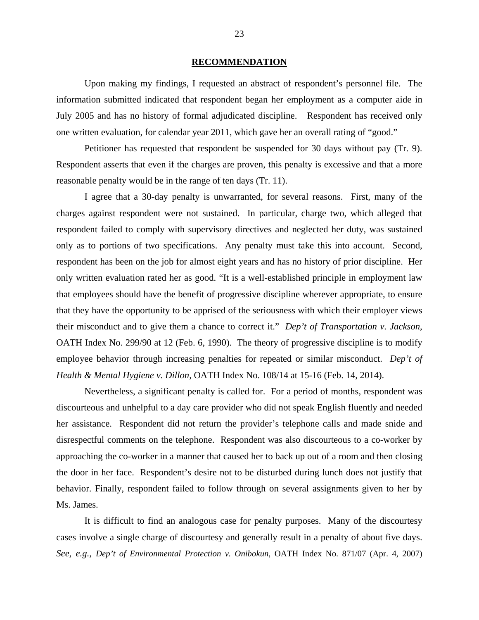### **RECOMMENDATION**

Upon making my findings, I requested an abstract of respondent's personnel file. The information submitted indicated that respondent began her employment as a computer aide in July 2005 and has no history of formal adjudicated discipline. Respondent has received only one written evaluation, for calendar year 2011, which gave her an overall rating of "good."

 Petitioner has requested that respondent be suspended for 30 days without pay (Tr. 9). Respondent asserts that even if the charges are proven, this penalty is excessive and that a more reasonable penalty would be in the range of ten days (Tr. 11).

 I agree that a 30-day penalty is unwarranted, for several reasons. First, many of the charges against respondent were not sustained. In particular, charge two, which alleged that respondent failed to comply with supervisory directives and neglected her duty, was sustained only as to portions of two specifications. Any penalty must take this into account. Second, respondent has been on the job for almost eight years and has no history of prior discipline. Her only written evaluation rated her as good. "It is a well-established principle in employment law that employees should have the benefit of progressive discipline wherever appropriate, to ensure that they have the opportunity to be apprised of the seriousness with which their employer views their misconduct and to give them a chance to correct it." *Dep't of Transportation v. Jackson*, OATH Index No. 299/90 at 12 (Feb. 6, 1990). The theory of progressive discipline is to modify employee behavior through increasing penalties for repeated or similar misconduct. *Dep't of Health & Mental Hygiene v. Dillon,* OATH Index No. 108/14 at 15-16 (Feb. 14, 2014).

 Nevertheless, a significant penalty is called for. For a period of months, respondent was discourteous and unhelpful to a day care provider who did not speak English fluently and needed her assistance. Respondent did not return the provider's telephone calls and made snide and disrespectful comments on the telephone. Respondent was also discourteous to a co-worker by approaching the co-worker in a manner that caused her to back up out of a room and then closing the door in her face. Respondent's desire not to be disturbed during lunch does not justify that behavior. Finally, respondent failed to follow through on several assignments given to her by Ms. James.

 It is difficult to find an analogous case for penalty purposes. Many of the discourtesy cases involve a single charge of discourtesy and generally result in a penalty of about five days. *See, e.g., Dep't of Environmental Protection v. Onibokun*, OATH Index No. 871/07 (Apr. 4, 2007)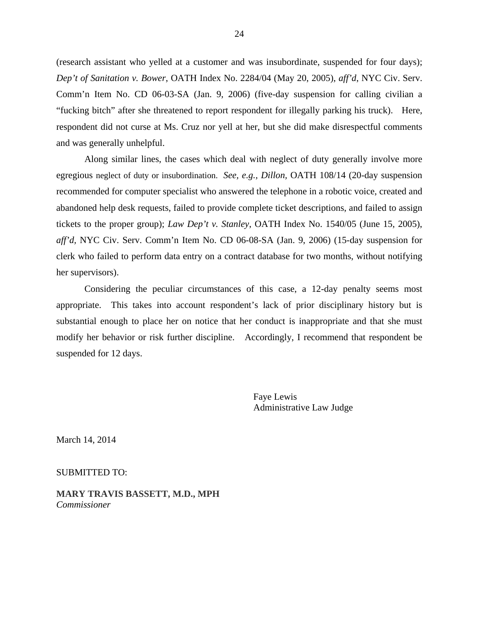(research assistant who yelled at a customer and was insubordinate, suspended for four days); *Dep't of Sanitation v. Bower*, OATH Index No. 2284/04 (May 20, 2005), *aff'd*, NYC Civ. Serv. Comm'n Item No. CD 06-03-SA (Jan. 9, 2006) (five-day suspension for calling civilian a "fucking bitch" after she threatened to report respondent for illegally parking his truck). Here, respondent did not curse at Ms. Cruz nor yell at her, but she did make disrespectful comments and was generally unhelpful.

Along similar lines, the cases which deal with neglect of duty generally involve more egregious neglect of duty or insubordination. *See, e.g., Dillon,* OATH 108/14 (20-day suspension recommended for computer specialist who answered the telephone in a robotic voice, created and abandoned help desk requests, failed to provide complete ticket descriptions, and failed to assign tickets to the proper group); *Law Dep't v. Stanley*, OATH Index No. 1540/05 (June 15, 2005), *aff'd,* NYC Civ. Serv. Comm'n Item No. CD 06-08-SA (Jan. 9, 2006) (15-day suspension for clerk who failed to perform data entry on a contract database for two months, without notifying her supervisors).

Considering the peculiar circumstances of this case, a 12-day penalty seems most appropriate. This takes into account respondent's lack of prior disciplinary history but is substantial enough to place her on notice that her conduct is inappropriate and that she must modify her behavior or risk further discipline. Accordingly, I recommend that respondent be suspended for 12 days.

> Faye Lewis Administrative Law Judge

March 14, 2014

SUBMITTED TO:

**MARY TRAVIS BASSETT, M.D., MPH**  *Commissioner*